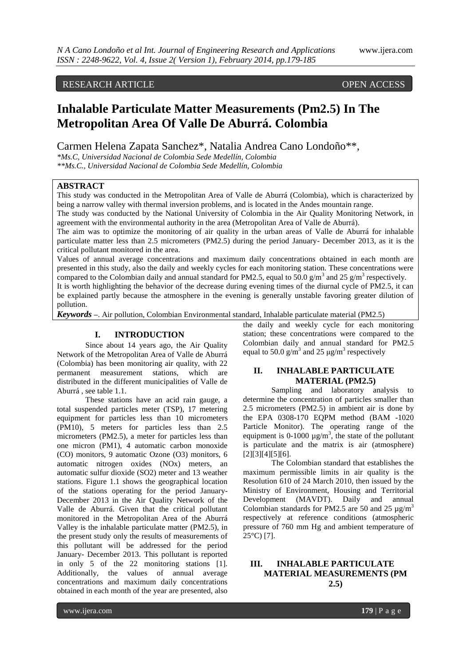# RESEARCH ARTICLE OPEN ACCESS

# **Inhalable Particulate Matter Measurements (Pm2.5) In The Metropolitan Area Of Valle De Aburrá. Colombia**

Carmen Helena Zapata Sanchez\*, Natalia Andrea Cano Londoño\*\*,

*\*Ms.C, Universidad Nacional de Colombia Sede Medellín, Colombia \*\*Ms.C., Universidad Nacional de Colombia Sede Medellín, Colombia*

# **ABSTRACT**

This study was conducted in the Metropolitan Area of Valle de Aburrá (Colombia), which is characterized by being a narrow valley with thermal inversion problems, and is located in the Andes mountain range.

The study was conducted by the National University of Colombia in the Air Quality Monitoring Network, in agreement with the environmental authority in the area (Metropolitan Area of Valle de Aburrá).

The aim was to optimize the monitoring of air quality in the urban areas of Valle de Aburrá for inhalable particulate matter less than 2.5 micrometers (PM2.5) during the period January- December 2013, as it is the critical pollutant monitored in the area.

Values of annual average concentrations and maximum daily concentrations obtained in each month are presented in this study, also the daily and weekly cycles for each monitoring station. These concentrations were compared to the Colombian daily and annual standard for PM2.5, equal to 50.0  $\text{g/m}^3$  and 25  $\text{g/m}^3$  respectively. It is worth highlighting the behavior of the decrease during evening times of the diurnal cycle of PM2.5, it can be explained partly because the atmosphere in the evening is generally unstable favoring greater dilution of pollution.

*Keywords* **–**. Air pollution, Colombian Environmental standard, Inhalable particulate material (PM2.5)

#### **I. INTRODUCTION**

Since about 14 years ago, the Air Quality Network of the Metropolitan Area of Valle de Aburrá (Colombia) has been monitoring air quality, with 22 permanent measurement stations, which are distributed in the different municipalities of Valle de Aburrá , see table 1.1.

These stations have an acid rain gauge, a total suspended particles meter (TSP), 17 metering equipment for particles less than 10 micrometers (PM10), 5 meters for particles less than 2.5 micrometers (PM2.5), a meter for particles less than one micron (PM1), 4 automatic carbon monoxide (CO) monitors, 9 automatic Ozone (O3) monitors, 6 automatic nitrogen oxides (NOx) meters, an automatic sulfur dioxide (SO2) meter and 13 weather stations. Figure 1.1 shows the geographical location of the stations operating for the period January-December 2013 in the Air Quality Network of the Valle de Aburrá. Given that the critical pollutant monitored in the Metropolitan Area of the Aburrá Valley is the inhalable particulate matter (PM2.5), in the present study only the results of measurements of this pollutant will be addressed for the period January- December 2013. This pollutant is reported in only 5 of the 22 monitoring stations [1]. Additionally, the values of annual average concentrations and maximum daily concentrations obtained in each month of the year are presented, also

the daily and weekly cycle for each monitoring station; these concentrations were compared to the Colombian daily and annual standard for PM2.5 equal to 50.0  $\text{g/m}^3$  and 25  $\mu \text{g/m}^3$  respectively

## **II. INHALABLE PARTICULATE MATERIAL (PM2.5)**

Sampling and laboratory analysis to determine the concentration of particles smaller than 2.5 micrometers (PM2.5) in ambient air is done by the EPA 0308-170 EQPM method (BAM -1020 Particle Monitor). The operating range of the equipment is 0-1000  $\mu$ g/m<sup>3</sup>, the state of the pollutant is particulate and the matrix is air (atmosphere) [2][3][4][5][6].

The Colombian standard that establishes the maximum permissible limits in air quality is the Resolution 610 of 24 March 2010, then issued by the Ministry of Environment, Housing and Territorial Development (MAVDT). Daily and annual Colombian standards for PM2.5 are 50 and 25  $\mu$ g/m<sup>3</sup> respectively at reference conditions (atmospheric pressure of 760 mm Hg and ambient temperature of 25°C) [7].

# **III. INHALABLE PARTICULATE MATERIAL MEASUREMENTS (PM 2.5)**

www.ijera.com **179** | P a g e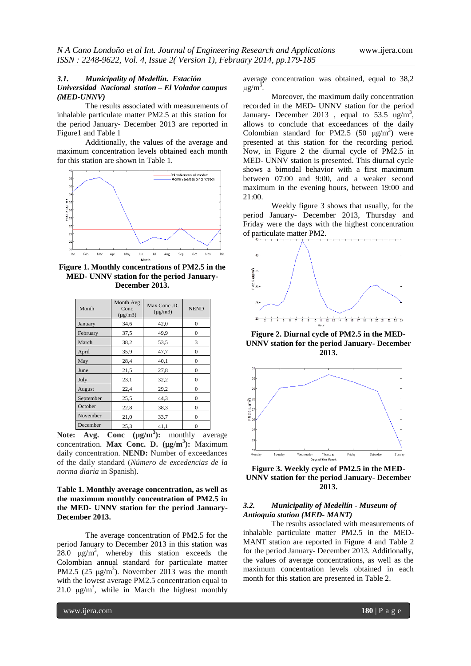#### *3.1. Municipality of Medellín. Estación Universidad Nacional station – El Volador campus (MED-UNNV)*

The results associated with measurements of inhalable particulate matter PM2.5 at this station for the period January- December 2013 are reported in Figure1 and Table 1

Additionally, the values of the average and maximum concentration levels obtained each month for this station are shown in Table 1.



**Figure 1. Monthly concentrations of PM2.5 in the MED- UNNV station for the period January-December 2013.**

| Month     | Month Avg<br>Conc<br>$(\mu g/m3)$ | Max Conc.D.<br>$(\mu$ g/m $3)$ | <b>NEND</b>  |
|-----------|-----------------------------------|--------------------------------|--------------|
| January   | 34,6                              | 42,0                           | $\Omega$     |
| February  | 37,5                              | 49,9                           | $\mathbf{0}$ |
| March     | 38,2                              | 53,5                           | 3            |
| April     | 35,9                              | 47,7                           | $\mathbf{0}$ |
| May       | 28,4                              | 40,1                           | $\mathbf{0}$ |
| June      | 21,5                              | 27,8                           | $\Omega$     |
| July      | 23,1                              | 32,2                           | $\Omega$     |
| August    | 22,4                              | 29,2                           | $\mathbf{0}$ |
| September | 25,5                              | 44,3                           | $\theta$     |
| October   | 22,8                              | 38,3                           | $\Omega$     |
| November  | 21,0                              | 33,7                           | $\Omega$     |
| December  | 25,3                              | 41,1                           | $\theta$     |

**Note:** Avg. Conc ( $\mu$ g/m<sup>3</sup>): monthly average concentration. **Max Conc. D. (µg/m<sup>3</sup> ):** Maximum daily concentration. **NEND:** Number of exceedances of the daily standard (*Número de excedencias de la norma diaria* in Spanish).

#### **Table 1. Monthly average concentration, as well as the maximum monthly concentration of PM2.5 in the MED- UNNV station for the period January-December 2013.**

The average concentration of PM2.5 for the period January to December 2013 in this station was 28.0  $\mu$ g/m<sup>3</sup>, whereby this station exceeds the Colombian annual standard for particulate matter PM2.5 (25  $\mu$ g/m<sup>3</sup>). November 2013 was the month with the lowest average PM2.5 concentration equal to 21.0  $\mu$ g/m<sup>3</sup>, while in March the highest monthly average concentration was obtained, equal to 38,2 μg/m<sup>3</sup>.

Moreover, the maximum daily concentration recorded in the MED- UNNV station for the period January- December 2013, equal to 53.5 ug/m<sup>3</sup>, allows to conclude that exceedances of the daily Colombian standard for PM2.5 (50  $\mu$ g/m<sup>3</sup>) were presented at this station for the recording period. Now, in Figure 2 the diurnal cycle of PM2.5 in MED- UNNV station is presented. This diurnal cycle shows a bimodal behavior with a first maximum between 07:00 and 9:00, and a weaker second maximum in the evening hours, between 19:00 and 21:00.

Weekly figure 3 shows that usually, for the period January- December 2013, Thursday and Friday were the days with the highest concentration of particulate matter PM2.



**Figure 2. Diurnal cycle of PM2.5 in the MED-UNNV station for the period January- December 2013.**



**Figure 3. Weekly cycle of PM2.5 in the MED-UNNV station for the period January- December 2013.**

#### *3.2. Municipality of Medellín - Museum of Antioquia station (MED- MANT)*

The results associated with measurements of inhalable particulate matter PM2.5 in the MED-MANT station are reported in Figure 4 and Table 2 for the period January- December 2013. Additionally, the values of average concentrations, as well as the maximum concentration levels obtained in each month for this station are presented in Table 2.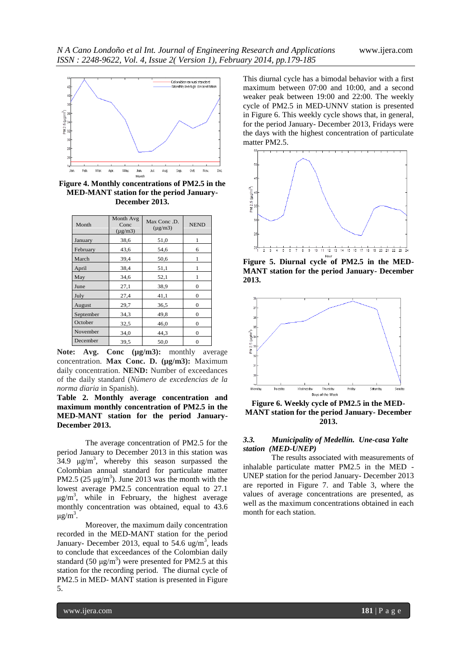

**Figure 4. Monthly concentrations of PM2.5 in the MED-MANT station for the period January-December 2013.**

| Month     | Month Avg<br>Conc<br>$(\mu$ g/m $3)$ | Max Conc.D.<br>$(\mu$ g/m $3)$ | <b>NEND</b>    |
|-----------|--------------------------------------|--------------------------------|----------------|
| January   | 38,6                                 | 51,0                           | 1              |
| February  | 43,6                                 | 54,6                           | 6              |
| March     | 39,4                                 | 50,6                           | 1              |
| April     | 38,4                                 | 51,1                           | 1              |
| May       | 34,6                                 | 52,1                           | 1              |
| June      | 27,1                                 | 38,9                           | $\Omega$       |
| July      | 27,4                                 | 41,1                           | $\mathbf{0}$   |
| August    | 29,7                                 | 36,5                           | $\mathbf{0}$   |
| September | 34,3                                 | 49,8                           | $\Omega$       |
| October   | 32,5                                 | 46,0                           | $\Omega$       |
| November  | 34,0                                 | 44,3                           | $\Omega$       |
| December  | 39,5                                 | 50,0                           | $\overline{0}$ |

Note: Avg. Conc ( $\mu$ g/m3): monthly average concentration. **Max Conc. D. (µg/m3):** Maximum daily concentration. **NEND:** Number of exceedances of the daily standard (*Número de excedencias de la norma diaria* in Spanish).

**Table 2. Monthly average concentration and maximum monthly concentration of PM2.5 in the MED-MANT station for the period January-December 2013.**

The average concentration of PM2.5 for the period January to December 2013 in this station was  $34.9 \mu g/m^3$ , whereby this season surpassed the Colombian annual standard for particulate matter PM2.5 ( $25 \mu g/m^3$ ). June 2013 was the month with the lowest average PM2.5 concentration equal to 27.1  $\mu$ g/m<sup>3</sup>, while in February, the highest average monthly concentration was obtained, equal to 43.6 μg/m<sup>3</sup>.

Moreover, the maximum daily concentration recorded in the MED-MANT station for the period January- December 2013, equal to 54.6 ug/m<sup>3</sup>, leads to conclude that exceedances of the Colombian daily standard (50  $\mu$ g/m<sup>3</sup>) were presented for PM2.5 at this station for the recording period. The diurnal cycle of PM2.5 in MED- MANT station is presented in Figure 5.

This diurnal cycle has a bimodal behavior with a first maximum between 07:00 and 10:00, and a second weaker peak between 19:00 and 22:00. The weekly cycle of PM2.5 in MED-UNNV station is presented in Figure 6. This weekly cycle shows that, in general, for the period January- December 2013, Fridays were the days with the highest concentration of particulate matter PM2.5.



**Figure 5. Diurnal cycle of PM2.5 in the MED-MANT station for the period January- December 2013.**



**Figure 6. Weekly cycle of PM2.5 in the MED-MANT station for the period January- December 2013.**

#### *3.3. Municipality of Medellín. Une-casa Yalte station (MED-UNEP)*

The results associated with measurements of inhalable particulate matter PM2.5 in the MED - UNEP station for the period January- December 2013 are reported in Figure 7. and Table 3, where the values of average concentrations are presented, as well as the maximum concentrations obtained in each month for each station.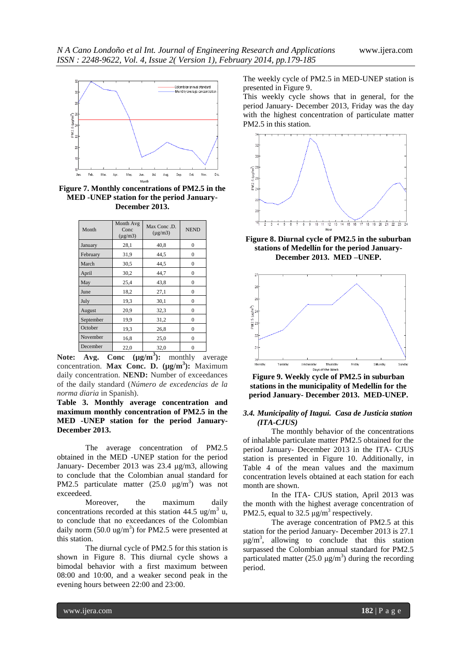

**Figure 7. Monthly concentrations of PM2.5 in the MED -UNEP station for the period January-December 2013.**

| Month     | Month Avg<br>Conc<br>$(\mu g/m3)$ | Max Conc.D.<br>$(\mu$ g/m $3)$ | <b>NEND</b>      |
|-----------|-----------------------------------|--------------------------------|------------------|
| January   | 28,1                              | 40,8                           | $\mathbf{0}$     |
| February  | 31,9                              | 44,5                           | $\boldsymbol{0}$ |
| March     | 30,5                              | 44.5                           | $\mathbf{0}$     |
| April     | 30,2                              | 44,7                           | $\mathbf{0}$     |
| May       | 25,4                              | 43,8                           | $\overline{0}$   |
| June      | 18,2                              | 27,1                           | $\theta$         |
| July      | 19,3                              | 30,1                           | $\mathbf{0}$     |
| August    | 20,9                              | 32,3                           | $\overline{0}$   |
| September | 19,9                              | 31,2                           | $\theta$         |
| October   | 19,3                              | 26,8                           | $\theta$         |
| November  | 16,8                              | 25,0                           | $\theta$         |
| December  | 22,0                              | 32,0                           | 0                |

**Note: Avg. Conc (µg/m<sup>3</sup> ):** monthly average concentration. **Max Conc. D. (µg/m<sup>3</sup> ):** Maximum daily concentration. **NEND:** Number of exceedances of the daily standard (*Número de excedencias de la norma diaria* in Spanish).

**Table 3. Monthly average concentration and maximum monthly concentration of PM2.5 in the MED -UNEP station for the period January-December 2013.**

The average concentration of PM2.5 obtained in the MED -UNEP station for the period January- December 2013 was 23.4 μg/m3, allowing to conclude that the Colombian anual standard for PM2.5 particulate matter  $(25.0 \text{ }\mu\text{g/m}^3)$  was not exceedeed.

Moreover, the maximum daily concentrations recorded at this station 44.5 ug/m<sup>3</sup> u, to conclude that no exceedances of the Colombian daily norm  $(50.0 \text{ ug/m}^3)$  for PM2.5 were presented at this station.

The diurnal cycle of PM2.5 for this station is shown in Figure 8. This diurnal cycle shows a bimodal behavior with a first maximum between 08:00 and 10:00, and a weaker second peak in the evening hours between 22:00 and 23:00.

The weekly cycle of PM2.5 in MED-UNEP station is presented in Figure 9.

This weekly cycle shows that in general, for the period January- December 2013, Friday was the day with the highest concentration of particulate matter PM2.5 in this station.



**Figure 8. Diurnal cycle of PM2.5 in the suburban stations of Medellín for the period January-December 2013. MED –UNEP.**



**Figure 9. Weekly cycle of PM2.5 in suburban stations in the municipality of Medellín for the period January- December 2013. MED-UNEP.**

#### *3.4. Municipality of Itagui. Casa de Justicia station (ITA-CJUS)*

The monthly behavior of the concentrations of inhalable particulate matter PM2.5 obtained for the period January- December 2013 in the ITA- CJUS station is presented in Figure 10. Additionally, in Table 4 of the mean values and the maximum concentration levels obtained at each station for each month are shown.

In the ITA- CJUS station, April 2013 was the month with the highest average concentration of PM2.5, equal to 32.5  $\mu$ g/m<sup>3</sup> respectively.

The average concentration of PM2.5 at this station for the period January- December 2013 is 27.1  $\mu$ g/m<sup>3</sup>, allowing to conclude that this station surpassed the Colombian annual standard for PM2.5 particulated matter  $(25.0 \text{ µg/m}^3)$  during the recording period.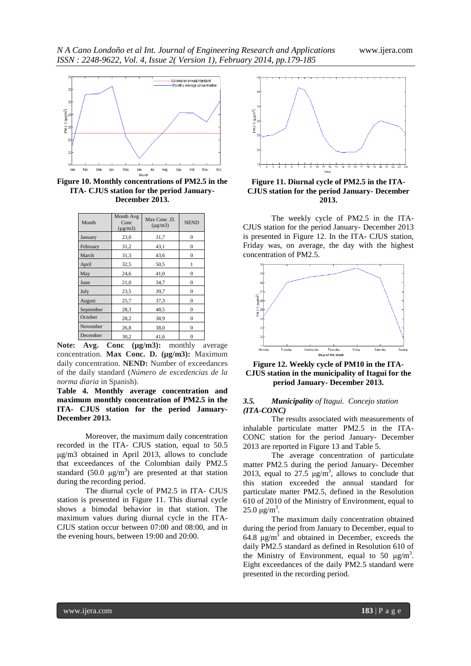

**Figure 10. Monthly concentrations of PM2.5 in the ITA- CJUS station for the period January-December 2013.**

| Month     | Month Avg<br>Conc<br>$(\mu$ g/m $3)$ | Max Conc.D.<br>$(\mu$ g/m $3)$ | <b>NEND</b>  |
|-----------|--------------------------------------|--------------------------------|--------------|
| January   | 23,0                                 | 31,7                           | $\Omega$     |
| February  | 31,2                                 | 43,1                           | $\mathbf{0}$ |
| March     | 31,3                                 | 43,6                           | $\mathbf{0}$ |
| April     | 32,5                                 | 50,5                           | 1            |
| May       | 24,6                                 | 41,0                           | 0            |
| June      | 21,0                                 | 34,7                           | 0            |
| July      | 23,5                                 | 39,7                           | $\mathbf{0}$ |
| August    | 25,7                                 | 37,3                           | 0            |
| September | 28,3                                 | 48,5                           | $\Omega$     |
| October   | 28,2                                 | 38.9                           | $\mathbf{0}$ |
| November  | 26,8                                 | 38,0                           | 0            |
| December  | 30,2                                 | 41,6                           | 0            |

Note: Avg. Conc ( $\mu$ g/m3): monthly average concentration. **Max Conc. D. (µg/m3):** Maximum daily concentration. **NEND:** Number of exceedances of the daily standard (*Número de excedencias de la norma diaria* in Spanish).

**Table 4. Monthly average concentration and maximum monthly concentration of PM2.5 in the ITA- CJUS station for the period January-December 2013.**

Moreover, the maximum daily concentration recorded in the ITA- CJUS station, equal to 50.5 μg/m3 obtained in April 2013, allows to conclude that exceedances of the Colombian daily PM2.5 standard (50.0  $\mu$ g/m<sup>3</sup>) are presented at that station during the recording period.

The diurnal cycle of PM2.5 in ITA- CJUS station is presented in Figure 11. This diurnal cycle shows a bimodal behavior in that station. The maximum values during diurnal cycle in the ITA-CJUS station occur between 07:00 and 08:00, and in the evening hours, between 19:00 and 20:00.



**Figure 11. Diurnal cycle of PM2.5 in the ITA-CJUS station for the period January- December 2013.**

The weekly cycle of PM2.5 in the ITA-CJUS station for the period January- December 2013 is presented in Figure 12. In the ITA- CJUS station, Friday was, on average, the day with the highest concentration of PM2.5.



**Figure 12. Weekly cycle of PM10 in the ITA-CJUS station in the municipality of Itagui for the period January- December 2013.**

#### *3.5. Municipality of Itagui. Concejo station (ITA-CONC)*

The results associated with measurements of inhalable particulate matter PM2.5 in the ITA-CONC station for the period January- December 2013 are reported in Figure 13 and Table 5.

The average concentration of particulate matter PM2.5 during the period January- December 2013, equal to  $27.5 \text{ }\mu\text{g/m}^3$ , allows to conclude that this station exceeded the annual standard for particulate matter PM2.5, defined in the Resolution 610 of 2010 of the Ministry of Environment, equal to 25.0 μg/m<sup>3</sup>.

The maximum daily concentration obtained during the period from January to December, equal to 64.8  $\mu$ g/m<sup>3</sup> and obtained in December, exceeds the daily PM2.5 standard as defined in Resolution 610 of the Ministry of Environment, equal to 50  $\mu$ g/m<sup>3</sup>. Eight exceedances of the daily PM2.5 standard were presented in the recording period.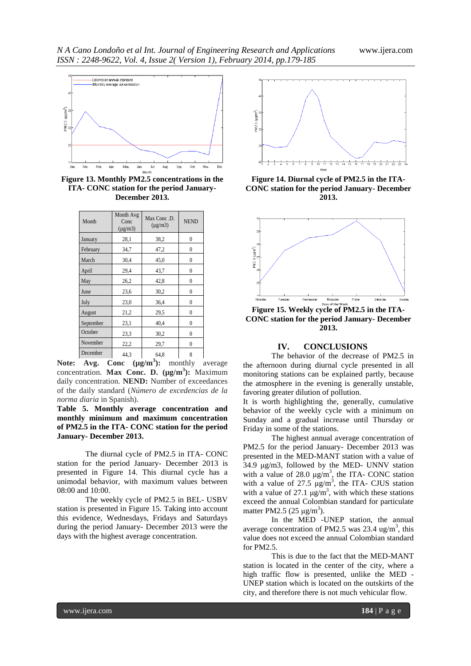

**Figure 13. Monthly PM2.5 concentrations in the ITA- CONC station for the period January-December 2013.**

| Month     | Month Avg<br>Conc<br>$(\mu$ g/m $3)$ | Max Conc. D.<br>$(\mu$ g/m $3)$ | <b>NEND</b>  |
|-----------|--------------------------------------|---------------------------------|--------------|
| January   | 28,1                                 | 38,2                            | 0            |
| February  | 34,7                                 | 47,2                            | 0            |
| March     | 30,4                                 | 45,0                            | 0            |
| April     | 29,4                                 | 43,7                            | 0            |
| May       | 26,2                                 | 42,8                            | 0            |
| June      | 23,6                                 | 30,2                            | $\theta$     |
| July      | 23,0                                 | 36,4                            | 0            |
| August    | 21,2                                 | 29,5                            | $\mathbf{0}$ |
| September | 23,1                                 | 40,4                            | $\theta$     |
| October   | 23,3                                 | 30,2                            | 0            |
| November  | 22,2                                 | 29,7                            | $\theta$     |
| December  | 44.3                                 | 64,8                            | 8            |

**Note:** Avg. Conc ( $\mu$ g/m<sup>3</sup>): monthly average concentration. **Max Conc. D. (µg/m<sup>3</sup> ):** Maximum daily concentration. **NEND:** Number of exceedances of the daily standard (*Número de excedencias de la norma diaria* in Spanish).

**Table 5. Monthly average concentration and monthly minimum and maximum concentration of PM2.5 in the ITA- CONC station for the period January- December 2013.**

The diurnal cycle of PM2.5 in ITA- CONC station for the period January- December 2013 is presented in Figure 14. This diurnal cycle has a unimodal behavior, with maximum values between 08:00 and 10:00.

The weekly cycle of PM2.5 in BEL- USBV station is presented in Figure 15. Taking into account this evidence, Wednesdays, Fridays and Saturdays during the period January- December 2013 were the days with the highest average concentration.



**Figure 14. Diurnal cycle of PM2.5 in the ITA-CONC station for the period January- December 2013.**



**Figure 15. Weekly cycle of PM2.5 in the ITA-CONC station for the period January- December 2013.**

## **IV. CONCLUSIONS**

The behavior of the decrease of PM2.5 in the afternoon during diurnal cycle presented in all monitoring stations can be explained partly, because the atmosphere in the evening is generally unstable, favoring greater dilution of pollution.

It is worth highlighting the, generally, cumulative behavior of the weekly cycle with a minimum on Sunday and a gradual increase until Thursday or Friday in some of the stations.

The highest annual average concentration of PM2.5 for the period January- December 2013 was presented in the MED-MANT station with a value of 34.9 μg/m3, followed by the MED- UNNV station with a value of 28.0  $\mu$ g/m<sup>3</sup>, the ITA- CONC station with a value of  $27.5 \text{ µg/m}^3$ , the ITA- CJUS station with a value of 27.1  $\mu g/m^3$ , with which these stations exceed the annual Colombian standard for particulate matter PM2.5 (25  $\mu$ g/m<sup>3</sup>).

In the MED -UNEP station, the annual average concentration of PM2.5 was  $23.4 \text{ ug/m}^3$ , this value does not exceed the annual Colombian standard for PM2.5.

This is due to the fact that the MED-MANT station is located in the center of the city, where a high traffic flow is presented, unlike the MED - UNEP station which is located on the outskirts of the city, and therefore there is not much vehicular flow.